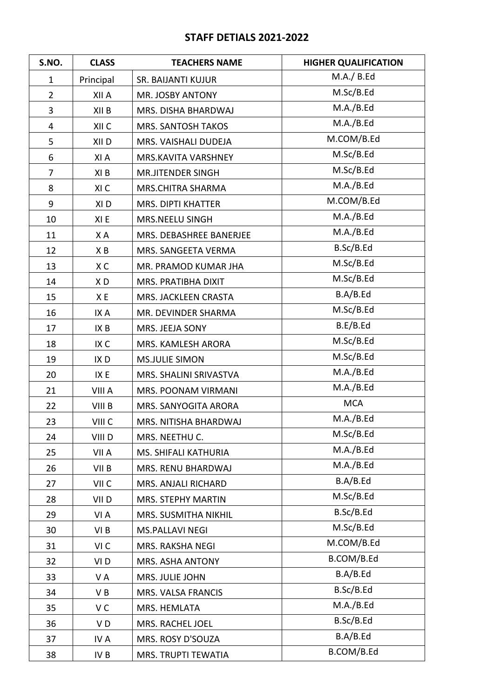## **STAFF DETIALS 2021-2022**

| S.NO.          | <b>CLASS</b>     | <b>TEACHERS NAME</b>     | <b>HIGHER QUALIFICATION</b> |
|----------------|------------------|--------------------------|-----------------------------|
| $\mathbf{1}$   | Principal        | SR. BAIJANTI KUJUR       | M.A./ B.Ed                  |
| $\overline{2}$ | XII A            | MR. JOSBY ANTONY         | M.Sc/B.Ed                   |
| $\overline{3}$ | XII B            | MRS. DISHA BHARDWAJ      | M.A./B.Ed                   |
| 4              | XII C            | MRS. SANTOSH TAKOS       | M.A./B.Ed                   |
| 5              | XII D            | MRS. VAISHALI DUDEJA     | M.COM/B.Ed                  |
| 6              | XI A             | MRS.KAVITA VARSHNEY      | M.Sc/B.Ed                   |
| $\overline{7}$ | XI B             | <b>MR.JITENDER SINGH</b> | M.Sc/B.Ed                   |
| 8              | XI C             | MRS.CHITRA SHARMA        | M.A./B.Ed                   |
| 9              | XI <sub>D</sub>  | MRS. DIPTI KHATTER       | M.COM/B.Ed                  |
| 10             | XI E             | MRS.NEELU SINGH          | M.A./B.Ed                   |
| 11             | X A              | MRS. DEBASHREE BANERJEE  | M.A./B.Ed                   |
| 12             | XB               | MRS. SANGEETA VERMA      | B.Sc/B.Ed                   |
| 13             | XC               | MR. PRAMOD KUMAR JHA     | M.Sc/B.Ed                   |
| 14             | XD               | MRS. PRATIBHA DIXIT      | M.Sc/B.Ed                   |
| 15             | XE               | MRS. JACKLEEN CRASTA     | B.A/B.Ed                    |
| 16             | IX A             | MR. DEVINDER SHARMA      | M.Sc/B.Ed                   |
| 17             | IX B             | MRS. JEEJA SONY          | B.E/B.Ed                    |
| 18             | IX C             | MRS. KAMLESH ARORA       | M.Sc/B.Ed                   |
| 19             | IX <sub>D</sub>  | <b>MS.JULIE SIMON</b>    | M.Sc/B.Ed                   |
| 20             | IX E             | MRS. SHALINI SRIVASTVA   | M.A./B.Ed                   |
| 21             | VIII A           | MRS. POONAM VIRMANI      | M.A./B.Ed                   |
| 22             | VIII B           | MRS. SANYOGITA ARORA     | <b>MCA</b>                  |
| 23             | VIII C           | MRS. NITISHA BHARDWAJ    | M.A./B.Ed                   |
| 24             | VIII D           | MRS. NEETHU C.           | M.Sc/B.Ed                   |
| 25             | VII A            | MS. SHIFALI KATHURIA     | M.A./B.Ed                   |
| 26             | VII B            | MRS. RENU BHARDWAJ       | M.A./B.Ed                   |
| 27             | VII <sub>C</sub> | MRS. ANJALI RICHARD      | B.A/B.Ed                    |
| 28             | VII <sub>D</sub> | MRS. STEPHY MARTIN       | M.Sc/B.Ed                   |
| 29             | VI A             | MRS. SUSMITHA NIKHIL     | B.Sc/B.Ed                   |
| 30             | VI B             | <b>MS.PALLAVI NEGI</b>   | M.Sc/B.Ed                   |
| 31             | VI C             | MRS. RAKSHA NEGI         | M.COM/B.Ed                  |
| 32             | VI D             | MRS. ASHA ANTONY         | B.COM/B.Ed                  |
| 33             | VA               | MRS. JULIE JOHN          | B.A/B.Ed                    |
| 34             | VB               | MRS. VALSA FRANCIS       | B.Sc/B.Ed                   |
| 35             | VC               | MRS. HEMLATA             | M.A./B.Ed                   |
| 36             | VD               | MRS. RACHEL JOEL         | B.Sc/B.Ed                   |
| 37             | IV A             | MRS. ROSY D'SOUZA        | B.A/B.Ed                    |
| 38             | IV B             | MRS. TRUPTI TEWATIA      | B.COM/B.Ed                  |